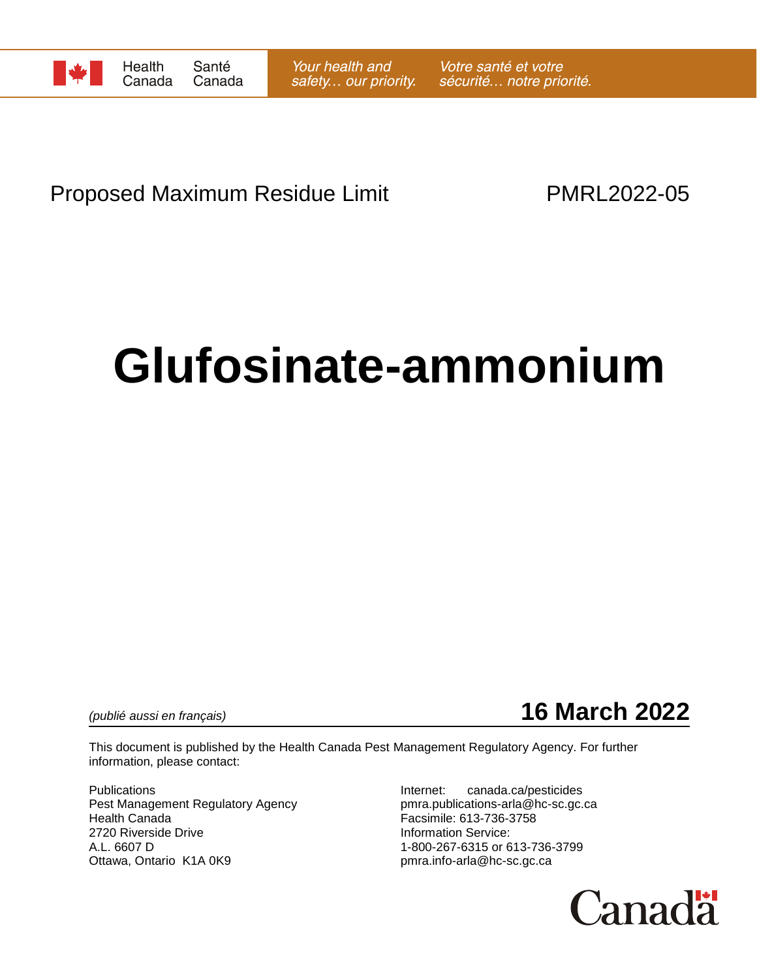

# Proposed Maximum Residue Limit **PMRL2022-05**

# **Glufosinate-ammonium**

*(publié aussi en français)* **16 March 2022**

This document is published by the Health Canada Pest Management Regulatory Agency. For further information, please contact:

Pest Management Regulatory Agency pmra.publications-arla@hc-sc.gc.ca Health Canada Facsimile: 613-736-3758 2720 Riverside Drive **Information Service:** A.L. 6607 D 1-800-267-6315 or 613-736-3799 Ottawa, Ontario K1A 0K9 **butter and the Contact of Contact Area** pmra.info-arla@hc-sc.gc.ca

Publications **Internet:** canada.ca/pesticides

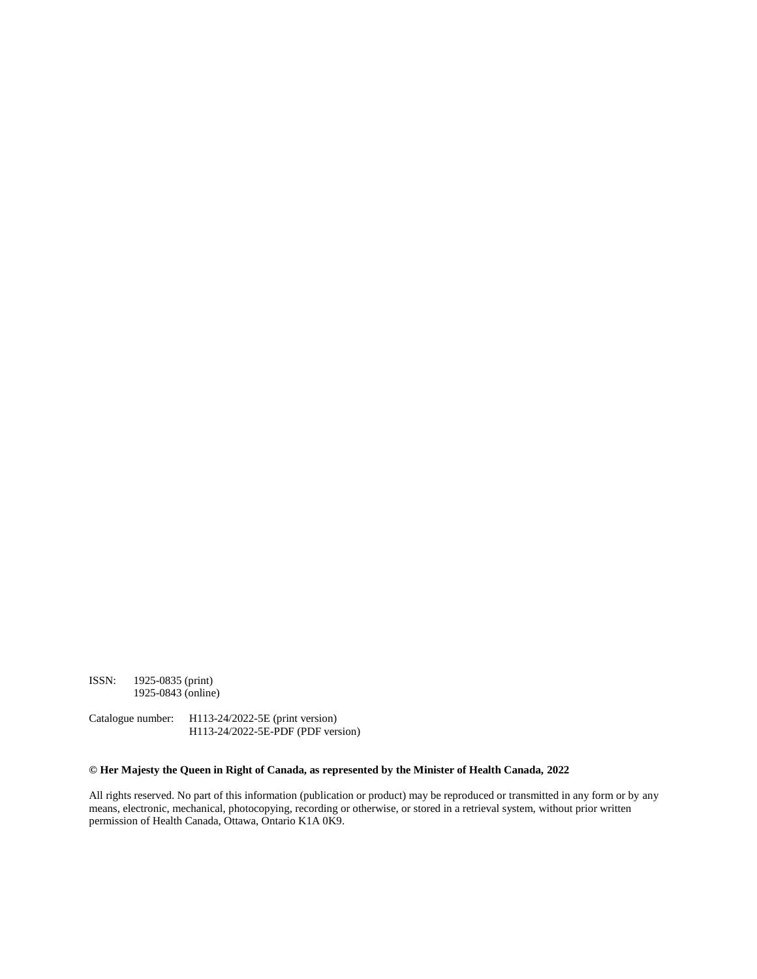ISSN: 1925-0835 (print) 1925-0843 (online)

Catalogue number: H113-24/2022-5E (print version) H113-24/2022-5E-PDF (PDF version)

#### **© Her Majesty the Queen in Right of Canada, as represented by the Minister of Health Canada, 2022**

All rights reserved. No part of this information (publication or product) may be reproduced or transmitted in any form or by any means, electronic, mechanical, photocopying, recording or otherwise, or stored in a retrieval system, without prior written permission of Health Canada, Ottawa, Ontario K1A 0K9.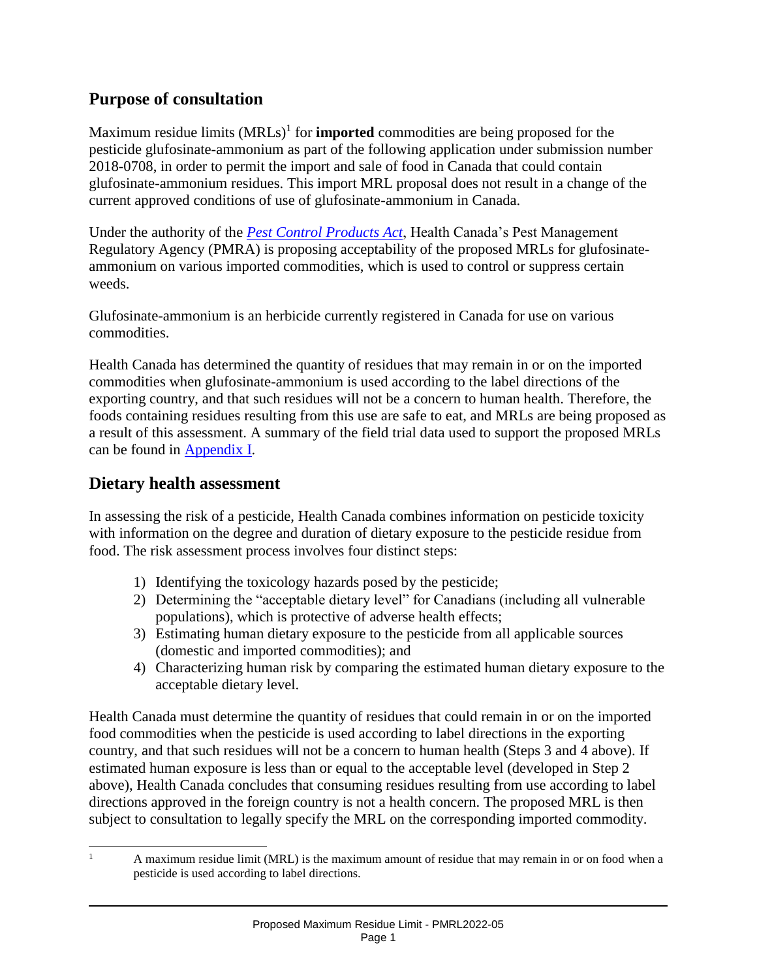## **Purpose of consultation**

Maximum residue limits (MRLs)<sup>1</sup> for **imported** commodities are being proposed for the pesticide glufosinate-ammonium as part of the following application under submission number 2018-0708, in order to permit the import and sale of food in Canada that could contain glufosinate-ammonium residues. This import MRL proposal does not result in a change of the current approved conditions of use of glufosinate-ammonium in Canada.

Under the authority of the *[Pest Control Products Act](https://laws-lois.justice.gc.ca/eng/acts/P-9.01/)*, Health Canada's Pest Management Regulatory Agency (PMRA) is proposing acceptability of the proposed MRLs for glufosinateammonium on various imported commodities, which is used to control or suppress certain weeds.

Glufosinate-ammonium is an herbicide currently registered in Canada for use on various commodities.

Health Canada has determined the quantity of residues that may remain in or on the imported commodities when glufosinate-ammonium is used according to the label directions of the exporting country, and that such residues will not be a concern to human health. Therefore, the foods containing residues resulting from this use are safe to eat, and MRLs are being proposed as a result of this assessment. A summary of the field trial data used to support the proposed MRLs can be found in Appendix I.

## **Dietary health assessment**

In assessing the risk of a pesticide, Health Canada combines information on pesticide toxicity with information on the degree and duration of dietary exposure to the pesticide residue from food. The risk assessment process involves four distinct steps:

- 1) Identifying the toxicology hazards posed by the pesticide;
- 2) Determining the "acceptable dietary level" for Canadians (including all vulnerable populations), which is protective of adverse health effects;
- 3) Estimating human dietary exposure to the pesticide from all applicable sources (domestic and imported commodities); and
- 4) Characterizing human risk by comparing the estimated human dietary exposure to the acceptable dietary level.

Health Canada must determine the quantity of residues that could remain in or on the imported food commodities when the pesticide is used according to label directions in the exporting country, and that such residues will not be a concern to human health (Steps 3 and 4 above). If estimated human exposure is less than or equal to the acceptable level (developed in Step 2 above), Health Canada concludes that consuming residues resulting from use according to label directions approved in the foreign country is not a health concern. The proposed MRL is then subject to consultation to legally specify the MRL on the corresponding imported commodity.

 $\mathbf{1}$ A maximum residue limit (MRL) is the maximum amount of residue that may remain in or on food when a pesticide is used according to label directions.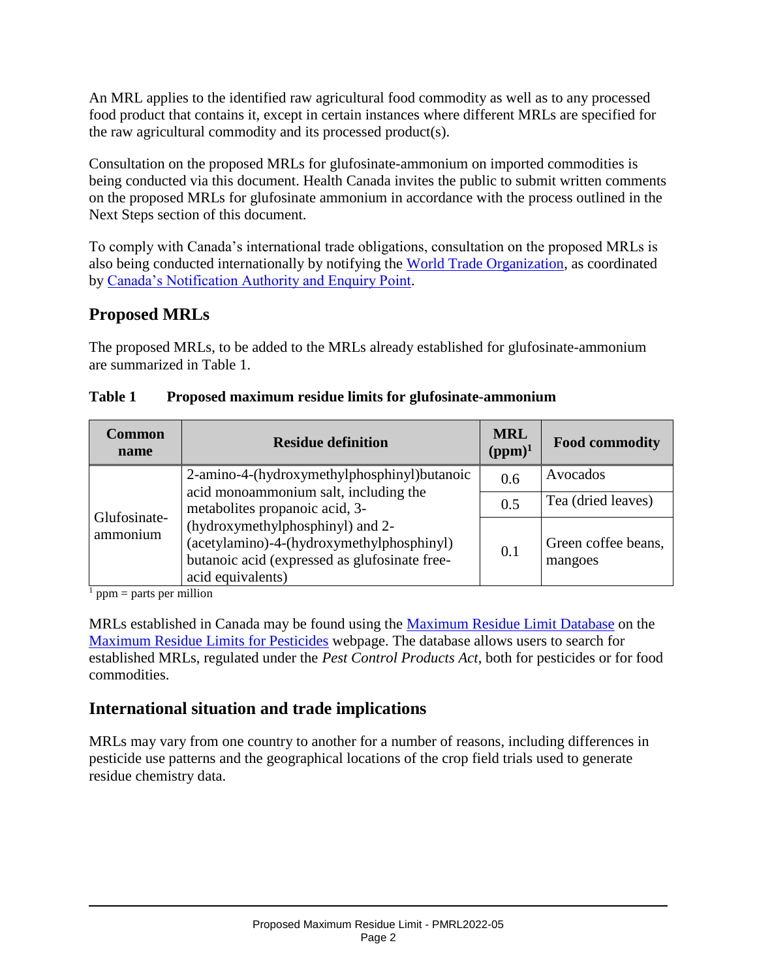An MRL applies to the identified raw agricultural food commodity as well as to any processed food product that contains it, except in certain instances where different MRLs are specified for the raw agricultural commodity and its processed product(s).

Consultation on the proposed MRLs for glufosinate-ammonium on imported commodities is being conducted via this document. Health Canada invites the public to submit written comments on the proposed MRLs for glufosinate ammonium in accordance with the process outlined in the Next Steps section of this document.

To comply with Canada's international trade obligations, consultation on the proposed MRLs is also being conducted internationally by notifying the [World Trade Organization,](http://www.wto.org/) as coordinated by [Canada's Notification Authority and Enquiry Point.](http://www.international.gc.ca/trade-agreements-accords-commerciaux/wto-omc/enquiry.aspx?lang=eng)

## **Proposed MRLs**

The proposed MRLs, to be added to the MRLs already established for glufosinate-ammonium are summarized in Table 1.

| <b>Common</b><br>name    | <b>Residue definition</b>                                                                                                                                                                                                                                                     | <b>MRL</b><br>$(ppm)^1$ | <b>Food commodity</b>          |
|--------------------------|-------------------------------------------------------------------------------------------------------------------------------------------------------------------------------------------------------------------------------------------------------------------------------|-------------------------|--------------------------------|
| Glufosinate-<br>ammonium | 2-amino-4-(hydroxymethylphosphinyl)butanoic<br>acid monoammonium salt, including the<br>metabolites propanoic acid, 3-<br>(hydroxymethylphosphinyl) and 2-<br>(acetylamino)-4-(hydroxymethylphosphinyl)<br>butanoic acid (expressed as glufosinate free-<br>acid equivalents) | 0.6                     | Avocados                       |
|                          |                                                                                                                                                                                                                                                                               | 0.5                     | Tea (dried leaves)             |
|                          |                                                                                                                                                                                                                                                                               | 0.1                     | Green coffee beans,<br>mangoes |

#### **Table 1 Proposed maximum residue limits for glufosinate-ammonium**

 $<sup>1</sup>$  ppm = parts per million</sup>

MRLs established in Canada may be found using the [Maximum Residue Limit Database](http://pr-rp.hc-sc.gc.ca/mrl-lrm/index-eng.php) on the [Maximum Residue Limits for Pesticides](https://www.canada.ca/en/health-canada/services/consumer-product-safety/pesticides-pest-management/public/protecting-your-health-environment/pesticides-food/maximum-residue-limits-pesticides.html) webpage. The database allows users to search for established MRLs, regulated under the *Pest Control Products Act*, both for pesticides or for food commodities.

## **International situation and trade implications**

MRLs may vary from one country to another for a number of reasons, including differences in pesticide use patterns and the geographical locations of the crop field trials used to generate residue chemistry data.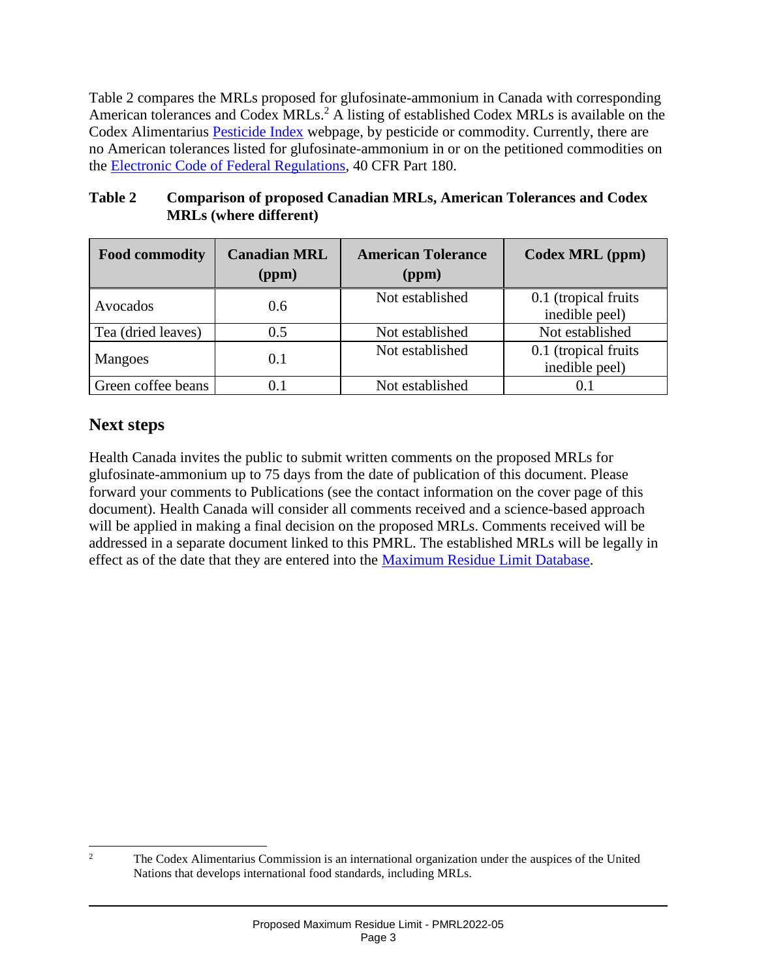Table 2 compares the MRLs proposed for glufosinate-ammonium in Canada with corresponding American tolerances and Codex MRLs.<sup>2</sup> A listing of established Codex MRLs is available on the Codex Alimentarius [Pesticide Index](http://www.fao.org/fao-who-codexalimentarius/codex-texts/dbs/pestres/pesticides/en/) webpage, by pesticide or commodity. Currently, there are no American tolerances listed for glufosinate-ammonium in or on the petitioned commodities on the [Electronic Code of Federal Regulations,](https://www.ecfr.gov/current/title-40/chapter-I/subchapter-E/part-180) 40 CFR Part 180.

#### **Table 2 Comparison of proposed Canadian MRLs, American Tolerances and Codex MRLs (where different)**

| <b>Food commodity</b> | <b>Canadian MRL</b><br>(ppm) | <b>American Tolerance</b><br>(ppm) | Codex MRL (ppm)                         |
|-----------------------|------------------------------|------------------------------------|-----------------------------------------|
| Avocados              | 0.6                          | Not established                    | 0.1 (tropical fruits)<br>inedible peel) |
| Tea (dried leaves)    | 0.5                          | Not established                    | Not established                         |
| Mangoes               | 0.1                          | Not established                    | 0.1 (tropical fruits<br>inedible peel)  |
| Green coffee beans    |                              | Not established                    | 0.1                                     |

## **Next steps**

Health Canada invites the public to submit written comments on the proposed MRLs for glufosinate-ammonium up to 75 days from the date of publication of this document. Please forward your comments to Publications (see the contact information on the cover page of this document). Health Canada will consider all comments received and a science-based approach will be applied in making a final decision on the proposed MRLs. Comments received will be addressed in a separate document linked to this PMRL. The established MRLs will be legally in effect as of the date that they are entered into the [Maximum Residue Limit Database.](http://pr-rp.hc-sc.gc.ca/mrl-lrm/index-eng.php)

 $\overline{2}$ <sup>2</sup> The Codex Alimentarius Commission is an international organization under the auspices of the United Nations that develops international food standards, including MRLs.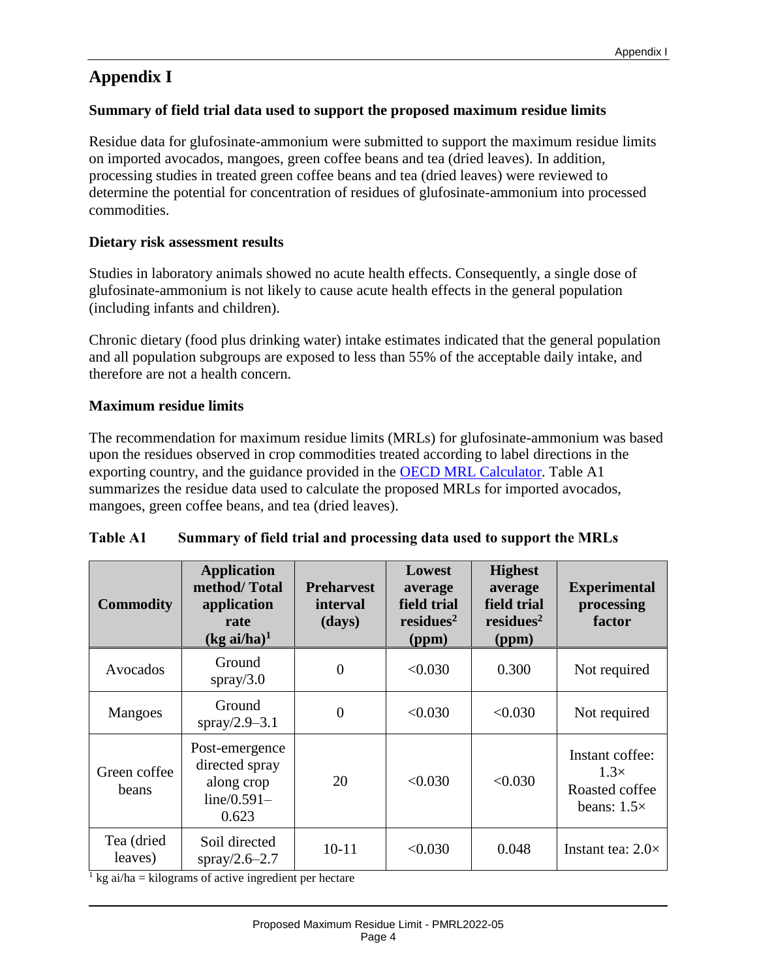## **Appendix I**

#### **Summary of field trial data used to support the proposed maximum residue limits**

Residue data for glufosinate-ammonium were submitted to support the maximum residue limits on imported avocados, mangoes, green coffee beans and tea (dried leaves). In addition, processing studies in treated green coffee beans and tea (dried leaves) were reviewed to determine the potential for concentration of residues of glufosinate-ammonium into processed commodities.

#### **Dietary risk assessment results**

Studies in laboratory animals showed no acute health effects. Consequently, a single dose of glufosinate-ammonium is not likely to cause acute health effects in the general population (including infants and children).

Chronic dietary (food plus drinking water) intake estimates indicated that the general population and all population subgroups are exposed to less than 55% of the acceptable daily intake, and therefore are not a health concern.

#### **Maximum residue limits**

The recommendation for maximum residue limits (MRLs) for glufosinate-ammonium was based upon the residues observed in crop commodities treated according to label directions in the exporting country, and the guidance provided in the [OECD MRL Calculator.](http://www.oecd.org/env/chemicalsafetyandbiosafety/agriculturalpesticidesandbiocides/oecdmaximumresiduelimitcalculator.htm) Table A1 summarizes the residue data used to calculate the proposed MRLs for imported avocados, mangoes, green coffee beans, and tea (dried leaves).

| <b>Table A1</b><br>Summary of field trial and processing data used to support the MRLs |  |
|----------------------------------------------------------------------------------------|--|
|----------------------------------------------------------------------------------------|--|

| <b>Commodity</b>      | <b>Application</b><br>method/Total<br>application<br>rate<br>$(kg \text{ ai/ha})^1$ | <b>Preharvest</b><br><i>interval</i><br>(days) | Lowest<br>average<br>field trial<br>residues <sup>2</sup><br>(ppm) | <b>Highest</b><br>average<br>field trial<br>residues <sup>2</sup><br>(ppm) | <b>Experimental</b><br>processing<br>factor                            |
|-----------------------|-------------------------------------------------------------------------------------|------------------------------------------------|--------------------------------------------------------------------|----------------------------------------------------------------------------|------------------------------------------------------------------------|
| Avocados              | Ground<br>spray/ $3.0$                                                              | $\overline{0}$                                 | < 0.030                                                            | 0.300                                                                      | Not required                                                           |
| <b>Mangoes</b>        | Ground<br>spray/2.9-3.1                                                             | $\overline{0}$                                 | < 0.030                                                            | < 0.030                                                                    | Not required                                                           |
| Green coffee<br>beans | Post-emergence<br>directed spray<br>along crop<br>$line/0.591-$<br>0.623            | 20                                             | < 0.030                                                            | < 0.030                                                                    | Instant coffee:<br>$1.3\times$<br>Roasted coffee<br>beans: $1.5\times$ |
| Tea (dried<br>leaves) | Soil directed<br>spray/2.6-2.7                                                      | $10 - 11$                                      | < 0.030                                                            | 0.048                                                                      | Instant tea: $2.0\times$                                               |

 $\frac{1}{1}$  kg ai/ha = kilograms of active ingredient per hectare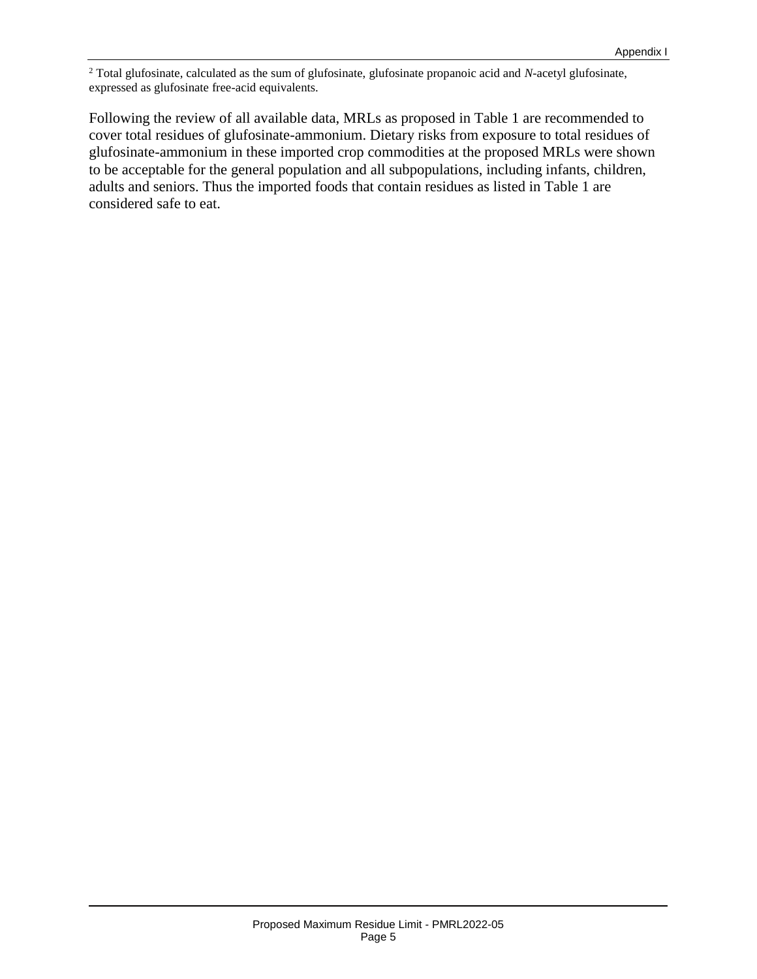<sup>2</sup> Total glufosinate, calculated as the sum of glufosinate, glufosinate propanoic acid and *N*-acetyl glufosinate, expressed as glufosinate free-acid equivalents.

Following the review of all available data, MRLs as proposed in Table 1 are recommended to cover total residues of glufosinate-ammonium. Dietary risks from exposure to total residues of glufosinate-ammonium in these imported crop commodities at the proposed MRLs were shown to be acceptable for the general population and all subpopulations, including infants, children, adults and seniors. Thus the imported foods that contain residues as listed in Table 1 are considered safe to eat.